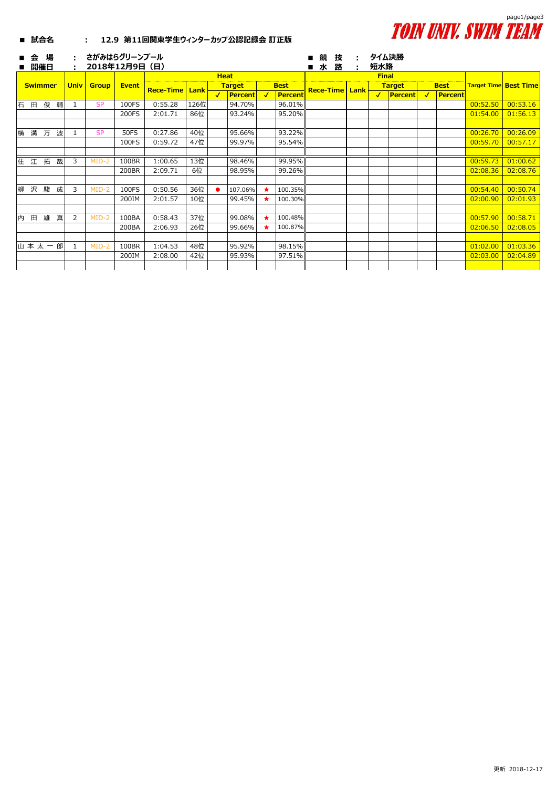

## **■ 試合名 : 12.9 第11回関東学生ウィンターカップ公認記録会 訂正版**

| ■ | 슾              | 場<br>開催日 |   |             |              | さがみはらグリーンプール<br>2018年12月9日 (日) |                  |      |              |                |              |             | 競<br>水<br>$\blacksquare$ | 技<br>路 | 短水路          | タイム決勝         |             |         |                              |          |
|---|----------------|----------|---|-------------|--------------|--------------------------------|------------------|------|--------------|----------------|--------------|-------------|--------------------------|--------|--------------|---------------|-------------|---------|------------------------------|----------|
|   |                |          |   |             |              |                                |                  |      |              | <b>Heat</b>    |              |             |                          |        | <b>Final</b> |               |             |         |                              |          |
|   | <b>Swimmer</b> |          |   | <b>Univ</b> | <b>Group</b> | <b>Event</b>                   | <b>Rece-Time</b> | Lank |              | <b>Target</b>  |              | <b>Best</b> | <b>Rece-Time Lank</b>    |        |              | <b>Target</b> | <b>Best</b> |         | <b>Target Time Best Time</b> |          |
|   |                |          |   |             |              |                                |                  |      | $\checkmark$ | <b>Percent</b> | $\checkmark$ | Percent     |                          |        | $\checkmark$ | Percent       |             | Percent |                              |          |
| 石 | 田              | 俊        | 輔 |             | <b>SP</b>    | 100FS                          | 0:55.28          | 126位 |              | 94.70%         |              | 96.01%      |                          |        |              |               |             |         | 00:52.50                     | 00:53.16 |
|   |                |          |   |             |              | 200FS                          | 2:01.71          | 86位  |              | 93.24%         |              | 95.20%      |                          |        |              |               |             |         | 01:54.00                     | 01:56.13 |
|   |                |          |   |             |              |                                |                  |      |              |                |              |             |                          |        |              |               |             |         |                              |          |
| 構 |                | 溝 万      | 波 |             | <b>SP</b>    | <b>50FS</b>                    | 0:27.86          | 40位  |              | 95.66%         |              | 93.22%      |                          |        |              |               |             |         | 00:26.70                     | 00:26.09 |
|   |                |          |   |             |              | 100FS                          | 0:59.72          | 47位  |              | 99.97%         |              | 95.54%      |                          |        |              |               |             |         | 00:59.70                     | 00:57.17 |
|   |                |          |   |             |              |                                |                  |      |              |                |              |             |                          |        |              |               |             |         |                              |          |
|   | 住江拓            |          | 哉 | 3           | $MID-2$      | 100BR                          | 1:00.65          | 13位  |              | 98.46%         |              | 99.95%      |                          |        |              |               |             |         | 00:59.73                     | 01:00.62 |
|   |                |          |   |             |              | 200BR                          | 2:09.71          | 6位   |              | 98.95%         |              | 99.26%      |                          |        |              |               |             |         | 02:08.36                     | 02:08.76 |
|   |                |          |   |             |              |                                |                  |      |              |                |              |             |                          |        |              |               |             |         |                              |          |
| 柳 |                | 沢 駿      | 成 | 3           | $MID-2$      | 100FS                          | 0:50.56          | 36位  |              | 107.06%        | $\star$      | 100.35%     |                          |        |              |               |             |         | 00:54.40                     | 00:50.74 |
|   |                |          |   |             |              | 200IM                          | 2:01.57          | 10位  |              | 99.45%         |              | 100.30%     |                          |        |              |               |             |         | 02:00.90                     | 02:01.93 |
|   |                |          |   |             |              |                                |                  |      |              |                |              |             |                          |        |              |               |             |         |                              |          |
| 内 | ⊞              | 雄        | 真 | 2           | $MID-2$      | 100BA                          | 0:58.43          | 37位  |              | 99.08%         | $\star$      | 100.48%     |                          |        |              |               |             |         | 00:57.90                     | 00:58.71 |
|   |                |          |   |             |              | 200BA                          | 2:06.93          | 26位  |              | 99.66%         |              | 100.87%     |                          |        |              |               |             |         | 02:06.50                     | 02:08.05 |
|   |                |          |   |             |              |                                |                  |      |              |                |              |             |                          |        |              |               |             |         |                              |          |
|   | 山本太一           |          | 郎 |             | $MID-2$      | 100BR                          | 1:04.53          | 48位  |              | 95.92%         |              | 98.15%      |                          |        |              |               |             |         | 01:02.00                     | 01:03.36 |
|   |                |          |   |             |              | 200IM                          | 2:08.00          | 42位  |              | 95.93%         |              | 97.51%      |                          |        |              |               |             |         | 02:03.00                     | 02:04.89 |
|   |                |          |   |             |              |                                |                  |      |              |                |              |             |                          |        |              |               |             |         |                              |          |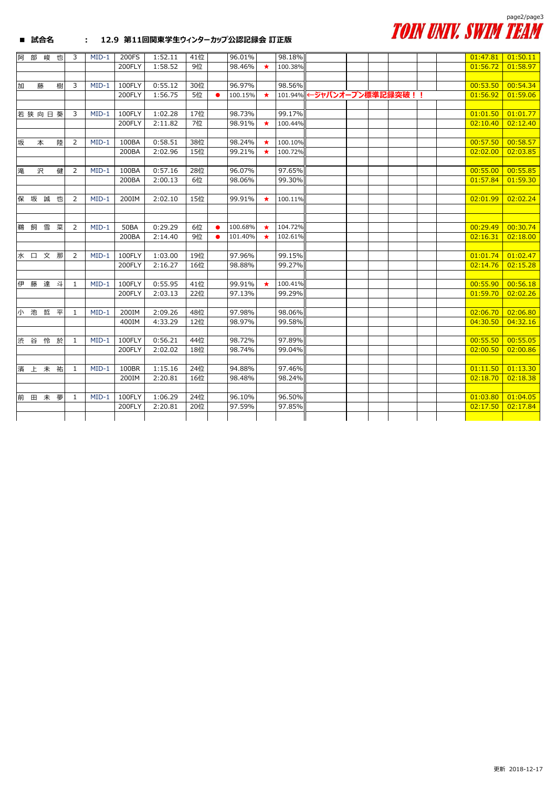

## **■ 試合名 : 12.9 第11回関東学生ウィンターカップ公認記録会 訂正版**

| 阿   | 部 | 峻     | 也 | 3              | $MID-1$ | 200FS       | 1:52.11 | 41位 |           | 96.01%  |         | 98.18%  |                           |  |  | 01:47.81 | 01:50.11 |
|-----|---|-------|---|----------------|---------|-------------|---------|-----|-----------|---------|---------|---------|---------------------------|--|--|----------|----------|
|     |   |       |   |                |         | 200FLY      | 1:58.52 | 9位  |           | 98.46%  | $\star$ | 100.38% |                           |  |  | 01:56.72 | 01:58.97 |
|     |   |       |   |                |         |             |         |     |           |         |         |         |                           |  |  |          |          |
| 加   |   | 藤     | 樹 | 3              | $MID-1$ | 100FLY      | 0:55.12 | 30位 |           | 96.97%  |         | 98.56%  |                           |  |  | 00:53.50 | 00:54.34 |
|     |   |       |   |                |         | 200FLY      | 1:56.75 | 5位  |           | 100.15% |         |         | 101.94% ←ジャパンオープン標準記録突破!! |  |  | 01:56.92 | 01:59.06 |
|     |   |       |   |                |         |             |         |     |           |         |         |         |                           |  |  |          |          |
|     |   | 若狭向日葵 |   | 3              | $MID-1$ | 100FLY      | 1:02.28 | 17位 |           | 98.73%  |         | 99.17%  |                           |  |  | 01:01.50 | 01:01.77 |
|     |   |       |   |                |         | 200FLY      | 2:11.82 | 7位  |           | 98.91%  | $\star$ | 100.44% |                           |  |  | 02:10.40 | 02:12.40 |
|     |   |       |   |                |         |             |         |     |           |         |         |         |                           |  |  |          |          |
| 坂   |   | 本     | 陸 | $\overline{2}$ | $MID-1$ | 100BA       | 0:58.51 | 38位 |           | 98.24%  | $\star$ | 100.10% |                           |  |  | 00:57.50 | 00:58.57 |
|     |   |       |   |                |         | 200BA       | 2:02.96 | 15位 |           | 99.21%  | $\star$ | 100.72% |                           |  |  | 02:02.00 | 02:03.85 |
|     |   |       |   |                |         |             |         |     |           |         |         |         |                           |  |  |          |          |
| 滝   |   | 沢     | 健 | $\overline{2}$ | $MID-1$ | 100BA       | 0:57.16 | 28位 |           | 96.07%  |         | 97.65%  |                           |  |  | 00:55.00 | 00:55.85 |
|     |   |       |   |                |         | 200BA       | 2:00.13 | 6位  |           | 98.06%  |         | 99.30%  |                           |  |  | 01:57.84 | 01:59.30 |
|     |   |       |   |                |         |             |         |     |           |         |         |         |                           |  |  |          |          |
| 保 坂 |   | 誠     | 也 | 2              | $MID-1$ | 200IM       | 2:02.10 | 15位 |           | 99.91%  | ★       | 100.11% |                           |  |  | 02:01.99 | 02:02.24 |
|     |   |       |   |                |         |             |         |     |           |         |         |         |                           |  |  |          |          |
|     |   |       |   |                |         |             |         |     |           |         |         |         |                           |  |  |          |          |
| 鵜   | 飼 | 雪     | 菜 | $\overline{2}$ | $MID-1$ | <b>50BA</b> | 0:29.29 | 6位  | $\bullet$ | 100.68% | $\star$ | 104.72% |                           |  |  | 00:29.49 | 00:30.74 |
|     |   |       |   |                |         | 200BA       | 2:14.40 | 9位  | $\bullet$ | 101.40% | $\star$ | 102.61% |                           |  |  | 02:16.31 | 02:18.00 |
|     |   |       |   |                |         |             |         |     |           |         |         |         |                           |  |  |          |          |
|     |   | 水口文那  |   | 2              | $MID-1$ | 100FLY      | 1:03.00 | 19位 |           | 97.96%  |         | 99.15%  |                           |  |  | 01:01.74 | 01:02.47 |
|     |   |       |   |                |         | 200FLY      | 2:16.27 | 16位 |           | 98.88%  |         | 99.27%  |                           |  |  | 02:14.76 | 02:15.28 |
|     |   |       |   |                |         |             |         |     |           |         |         |         |                           |  |  |          |          |
|     |   | 伊藤達斗  |   | 1              | $MID-1$ | 100FLY      | 0:55.95 | 41位 |           | 99.91%  | $\star$ | 100.41% |                           |  |  | 00:55.90 | 00:56.18 |
|     |   |       |   |                |         | 200FLY      | 2:03.13 | 22位 |           | 97.13%  |         | 99.29%  |                           |  |  | 01:59.70 | 02:02.26 |
|     |   |       |   |                |         |             |         |     |           |         |         |         |                           |  |  |          |          |
| 小池  |   | 哲     | 平 | $\mathbf{1}$   | $MID-1$ | 200IM       | 2:09.26 | 48位 |           | 97.98%  |         | 98.06%  |                           |  |  | 02:06.70 | 02:06.80 |
|     |   |       |   |                |         | 400IM       | 4:33.29 | 12位 |           | 98.97%  |         | 99.58%  |                           |  |  | 04:30.50 | 04:32.16 |
|     |   | 渋谷怜於  |   | $\mathbf{1}$   | $MID-1$ | 100FLY      | 0:56.21 | 44位 |           | 98.72%  |         | 97.89%  |                           |  |  | 00:55.50 | 00:55.05 |
|     |   |       |   |                |         | 200FLY      | 2:02.02 | 18位 |           | 98.74%  |         | 99.04%  |                           |  |  | 02:00.50 | 02:00.86 |
|     |   |       |   |                |         |             |         |     |           |         |         |         |                           |  |  |          |          |
|     |   | 濱上未祐  |   | 1              | $MID-1$ | 100BR       | 1:15.16 | 24位 |           | 94.88%  |         | 97.46%  |                           |  |  | 01:11.50 | 01:13.30 |
|     |   |       |   |                |         | 200IM       | 2:20.81 | 16位 |           | 98.48%  |         | 98.24%  |                           |  |  | 02:18.70 | 02:18.38 |
|     |   |       |   |                |         |             |         |     |           |         |         |         |                           |  |  |          |          |
| 前   |   | 田未    | 夢 | 1              | $MID-1$ | 100FLY      | 1:06.29 | 24位 |           | 96.10%  |         | 96.50%  |                           |  |  | 01:03.80 | 01:04.05 |
|     |   |       |   |                |         | 200FLY      | 2:20.81 | 20位 |           | 97.59%  |         | 97.85%  |                           |  |  | 02:17.50 | 02:17.84 |
|     |   |       |   |                |         |             |         |     |           |         |         |         |                           |  |  |          |          |
|     |   |       |   |                |         |             |         |     |           |         |         |         |                           |  |  |          |          |